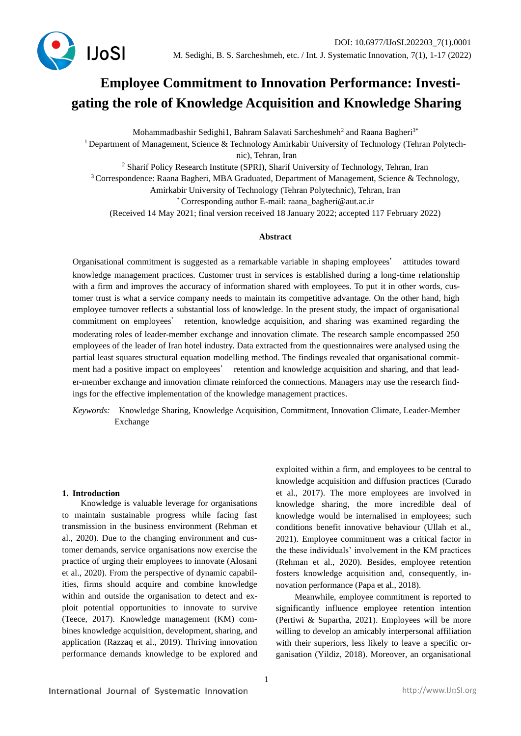

# **Employee Commitment to Innovation Performance: Investigating the role of Knowledge Acquisition and Knowledge Sharing**

Mohammadbashir Sedighi1, Bahram Salavati Sarcheshmeh<sup>2</sup> and Raana Bagheri<sup>3\*</sup> <sup>1</sup> Department of Management, Science & Technology Amirkabir University of Technology (Tehran Polytechnic), Tehran, Iran <sup>2</sup> Sharif Policy Research Institute (SPRI), Sharif University of Technology, Tehran, Iran <sup>3</sup> Correspondence: Raana Bagheri, MBA Graduated, Department of Management, Science & Technology, Amirkabir University of Technology (Tehran Polytechnic), Tehran, Iran \* Corresponding author E-mail: raana\_bagheri@aut.ac.ir (Received 14 May 2021; final version received 18 January 2022; accepted 117 February 2022)

#### **Abstract**

Organisational commitment is suggested as a remarkable variable in shaping employees' attitudes toward knowledge management practices. Customer trust in services is established during a long-time relationship with a firm and improves the accuracy of information shared with employees. To put it in other words, customer trust is what a service company needs to maintain its competitive advantage. On the other hand, high employee turnover reflects a substantial loss of knowledge. In the present study, the impact of organisational commitment on employees' retention, knowledge acquisition, and sharing was examined regarding the moderating roles of leader-member exchange and innovation climate. The research sample encompassed 250 employees of the leader of Iran hotel industry. Data extracted from the questionnaires were analysed using the partial least squares structural equation modelling method. The findings revealed that organisational commitment had a positive impact on employees' retention and knowledge acquisition and sharing, and that leader-member exchange and innovation climate reinforced the connections. Managers may use the research findings for the effective implementation of the knowledge management practices.

*Keywords:* Knowledge Sharing, Knowledge Acquisition, Commitment, Innovation Climate, Leader-Member Exchange

## **1. Introduction**

Knowledge is valuable leverage for organisations to maintain sustainable progress while facing fast transmission in the business environment (Rehman et al., 2020). Due to the changing environment and customer demands, service organisations now exercise the practice of urging their employees to innovate (Alosani et al., 2020). From the perspective of dynamic capabilities, firms should acquire and combine knowledge within and outside the organisation to detect and exploit potential opportunities to innovate to survive (Teece, 2017). Knowledge management (KM) combines knowledge acquisition, development, sharing, and application (Razzaq et al., 2019). Thriving innovation performance demands knowledge to be explored and exploited within a firm, and employees to be central to knowledge acquisition and diffusion practices (Curado et al., 2017). The more employees are involved in knowledge sharing, the more incredible deal of knowledge would be internalised in employees; such conditions benefit innovative behaviour (Ullah et al., 2021). Employee commitment was a critical factor in the these individuals' involvement in the KM practices (Rehman et al., 2020). Besides, employee retention fosters knowledge acquisition and, consequently, innovation performance (Papa et al., 2018).

Meanwhile, employee commitment is reported to significantly influence employee retention intention (Pertiwi & Supartha, 2021). Employees will be more willing to develop an amicably interpersonal affiliation with their superiors, less likely to leave a specific organisation (Yildiz, 2018). Moreover, an organisational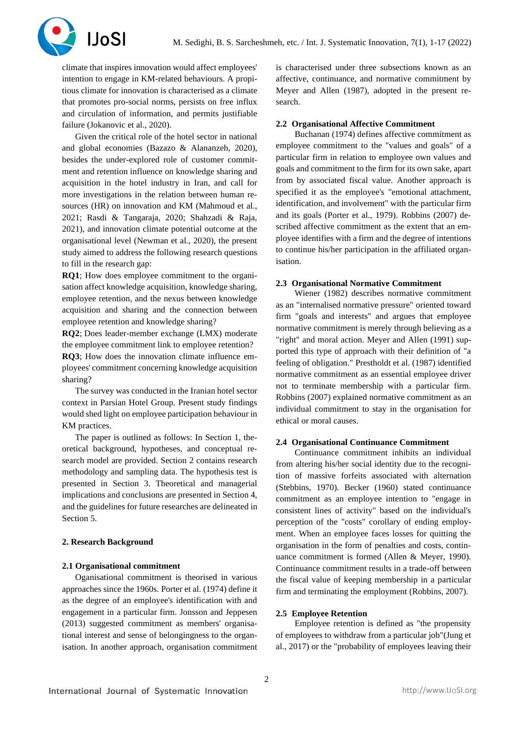

climate that inspires innovation would affect employees' intention to engage in KM-related behaviours. A propitious climate for innovation is characterised as a climate that promotes pro-social norms, persists on free influx and circulation of information, and permits justifiable failure (Jokanovic et al., 2020).

Given the critical role of the hotel sector in national and global economies (Bazazo & Alananzeh, 2020), besides the under-explored role of customer commitment and retention influence on knowledge sharing and acquisition in the hotel industry in Iran, and call for more investigations in the relation between human resources (HR) on innovation and KM (Mahmoud et al., 2021; Rasdi & Tangaraja, 2020; Shahzadi & Raja, 2021), and innovation climate potential outcome at the organisational level (Newman et al., 2020), the present study aimed to address the following research questions to fill in the research gap:

**RQ1**; How does employee commitment to the organisation affect knowledge acquisition, knowledge sharing, employee retention, and the nexus between knowledge acquisition and sharing and the connection between employee retention and knowledge sharing?

**RQ2**; Does leader-member exchange (LMX) moderate the employee commitment link to employee retention?

**RQ3**; How does the innovation climate influence employees' commitment concerning knowledge acquisition sharing?

The survey was conducted in the Iranian hotel sector context in Parsian Hotel Group. Present study findings would shed light on employee participation behaviour in KM practices.

The paper is outlined as follows: In Section 1, theoretical background, hypotheses, and conceptual research model are provided. Section 2 contains research methodology and sampling data. The hypothesis test is presented in Section 3. Theoretical and managerial implications and conclusions are presented in Section 4, and the guidelines for future researches are delineated in Section 5.

## **2. Research Background**

#### **2.1 Organisational commitment**

Oganisational commitment is theorised in various approaches since the 1960s. Porter et al. (1974) define it as the degree of an employee's identification with and engagement in a particular firm. Jonsson and Jeppesen (2013) suggested commitment as members' organisational interest and sense of belongingness to the organisation. In another approach, organisation commitment

is characterised under three subsections known as an affective, continuance, and normative commitment by Meyer and Allen (1987), adopted in the present research.

#### **2.2 Organisational Affective Commitment**

Buchanan (1974) defines affective commitment as employee commitment to the "values and goals" of a particular firm in relation to employee own values and goals and commitment to the firm for its own sake, apart from by associated fiscal value. Another approach is specified it as the employee's "emotional attachment, identification, and involvement" with the particular firm and its goals (Porter et al., 1979). Robbins (2007) described affective commitment as the extent that an employee identifies with a firm and the degree of intentions to continue his/her participation in the affiliated organisation.

#### **2.3 Organisational Normative Commitment**

Wiener (1982) describes normative commitment as an "internalised normative pressure" oriented toward firm "goals and interests" and argues that employee normative commitment is merely through believing as a "right" and moral action. Meyer and Allen (1991) supported this type of approach with their definition of "a feeling of obligation." Prestholdt et al. (1987) identified normative commitment as an essential employee driver not to terminate membership with a particular firm. Robbins (2007) explained normative commitment as an individual commitment to stay in the organisation for ethical or moral causes.

#### **2.4 Organisational Continuance Commitment**

Continuance commitment inhibits an individual from altering his/her social identity due to the recognition of massive forfeits associated with alternation (Stebbins, 1970). Becker (1960) stated continuance commitment as an employee intention to "engage in consistent lines of activity" based on the individual's perception of the "costs" corollary of ending employment. When an employee faces losses for quitting the organisation in the form of penalties and costs, continuance commitment is formed (Allen & Meyer, 1990). Continuance commitment results in a trade-off between the fiscal value of keeping membership in a particular firm and terminating the employment (Robbins, 2007).

## **2.5 Employee Retention**

Employee retention is defined as "the propensity of employees to withdraw from a particular job"(Jung et al., 2017) or the "probability of employees leaving their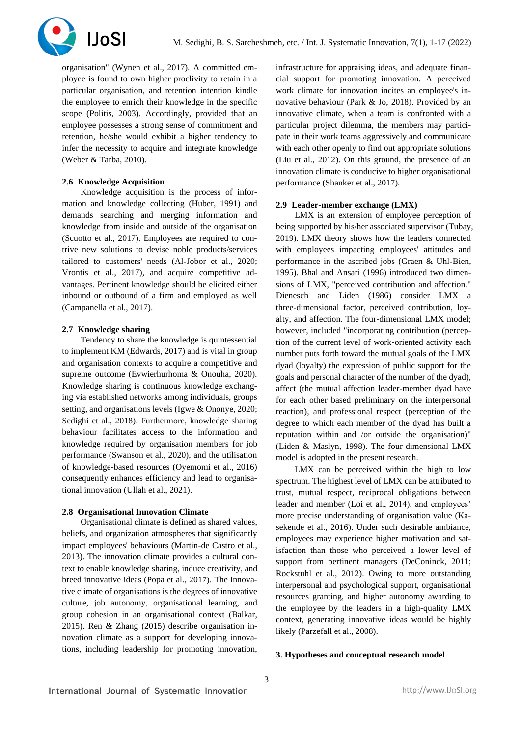

organisation" (Wynen et al., 2017). A committed employee is found to own higher proclivity to retain in a particular organisation, and retention intention kindle the employee to enrich their knowledge in the specific scope (Politis, 2003). Accordingly, provided that an employee possesses a strong sense of commitment and retention, he/she would exhibit a higher tendency to infer the necessity to acquire and integrate knowledge (Weber & Tarba, 2010).

#### **2.6 Knowledge Acquisition**

Knowledge acquisition is the process of information and knowledge collecting (Huber, 1991) and demands searching and merging information and knowledge from inside and outside of the organisation (Scuotto et al., 2017). Employees are required to contrive new solutions to devise noble products/services tailored to customers' needs (Al-Jobor et al., 2020; Vrontis et al., 2017), and acquire competitive advantages. Pertinent knowledge should be elicited either inbound or outbound of a firm and employed as well (Campanella et al., 2017).

# **2.7 Knowledge sharing**

Tendency to share the knowledge is quintessential to implement KM (Edwards, 2017) and is vital in group and organisation contexts to acquire a competitive and supreme outcome (Evwierhurhoma & Onouha, 2020). Knowledge sharing is continuous knowledge exchanging via established networks among individuals, groups setting, and organisations levels (Igwe & Ononye, 2020; Sedighi et al., 2018). Furthermore, knowledge sharing behaviour facilitates access to the information and knowledge required by organisation members for job performance (Swanson et al., 2020), and the utilisation of knowledge-based resources (Oyemomi et al., 2016) consequently enhances efficiency and lead to organisational innovation (Ullah et al., 2021).

#### **2.8 Organisational Innovation Climate**

Organisational climate is defined as shared values, beliefs, and organization atmospheres that significantly impact employees' behaviours (Martin-de Castro et al., 2013). The innovation climate provides a cultural context to enable knowledge sharing, induce creativity, and breed innovative ideas (Popa et al., 2017). The innovative climate of organisations is the degrees of innovative culture, job autonomy, organisational learning, and group cohesion in an organisational context (Balkar, 2015). Ren & Zhang (2015) describe organisation innovation climate as a support for developing innovations, including leadership for promoting innovation, infrastructure for appraising ideas, and adequate financial support for promoting innovation. A perceived work climate for innovation incites an employee's innovative behaviour (Park & Jo, 2018). Provided by an innovative climate, when a team is confronted with a particular project dilemma, the members may participate in their work teams aggressively and communicate with each other openly to find out appropriate solutions (Liu et al., 2012). On this ground, the presence of an innovation climate is conducive to higher organisational performance (Shanker et al., 2017).

#### **2.9 Leader-member exchange (LMX)**

LMX is an extension of employee perception of being supported by his/her associated supervisor (Tubay, 2019). LMX theory shows how the leaders connected with employees impacting employees' attitudes and performance in the ascribed jobs (Graen & Uhl-Bien, 1995). Bhal and Ansari (1996) introduced two dimensions of LMX, "perceived contribution and affection." Dienesch and Liden (1986) consider LMX a three-dimensional factor, perceived contribution, loyalty, and affection. The four-dimensional LMX model; however, included "incorporating contribution (perception of the current level of work-oriented activity each number puts forth toward the mutual goals of the LMX dyad (loyalty) the expression of public support for the goals and personal character of the number of the dyad), affect (the mutual affection leader-member dyad have for each other based preliminary on the interpersonal reaction), and professional respect (perception of the degree to which each member of the dyad has built a reputation within and /or outside the organisation)" (Liden & Maslyn, 1998). The four-dimensional LMX model is adopted in the present research.

LMX can be perceived within the high to low spectrum. The highest level of LMX can be attributed to trust, mutual respect, reciprocal obligations between leader and member (Loi et al., 2014), and employees' more precise understanding of organisation value (Kasekende et al., 2016). Under such desirable ambiance, employees may experience higher motivation and satisfaction than those who perceived a lower level of support from pertinent managers (DeConinck, 2011; Rockstuhl et al., 2012). Owing to more outstanding interpersonal and psychological support, organisational resources granting, and higher autonomy awarding to the employee by the leaders in a high-quality LMX context, generating innovative ideas would be highly likely (Parzefall et al., 2008).

# **3. Hypotheses and conceptual research model**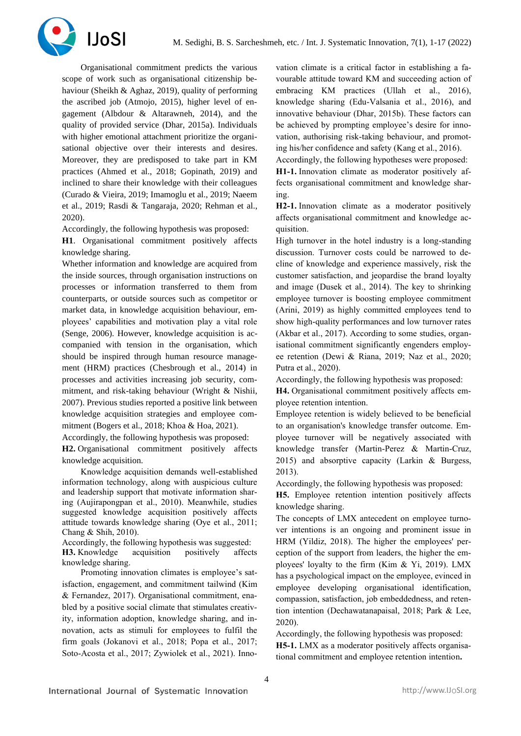

Organisational commitment predicts the various scope of work such as organisational citizenship behaviour (Sheikh & Aghaz, 2019), quality of performing the ascribed job (Atmojo, 2015), higher level of engagement (Albdour & Altarawneh, 2014), and the quality of provided service (Dhar, 2015a). Individuals with higher emotional attachment prioritize the organisational objective over their interests and desires. Moreover, they are predisposed to take part in KM practices (Ahmed et al., 2018; Gopinath, 2019) and inclined to share their knowledge with their colleagues (Curado & Vieira, 2019; Imamoglu et al., 2019; Naeem et al., 2019; Rasdi & Tangaraja, 2020; Rehman et al., 2020).

Accordingly, the following hypothesis was proposed:

**H1**. Organisational commitment positively affects knowledge sharing.

Whether information and knowledge are acquired from the inside sources, through organisation instructions on processes or information transferred to them from counterparts, or outside sources such as competitor or market data, in knowledge acquisition behaviour, employees' capabilities and motivation play a vital role (Senge, 2006). However, knowledge acquisition is accompanied with tension in the organisation, which should be inspired through human resource management (HRM) practices (Chesbrough et al., 2014) in processes and activities increasing job security, commitment, and risk-taking behaviour (Wright & Nishii, 2007). Previous studies reported a positive link between knowledge acquisition strategies and employee commitment (Bogers et al., 2018; Khoa & Hoa, 2021).

Accordingly, the following hypothesis was proposed:

**H2.** Organisational commitment positively affects knowledge acquisition.

Knowledge acquisition demands well-established information technology, along with auspicious culture and leadership support that motivate information sharing (Aujirapongpan et al., 2010). Meanwhile, studies suggested knowledge acquisition positively affects attitude towards knowledge sharing (Oye et al., 2011; Chang & Shih, 2010).

Accordingly, the following hypothesis was suggested:

**H3.** Knowledge acquisition positively affects knowledge sharing.

Promoting innovation climates is employee's satisfaction, engagement, and commitment tailwind (Kim & Fernandez, 2017). Organisational commitment, enabled by a positive social climate that stimulates creativity, information adoption, knowledge sharing, and innovation, acts as stimuli for employees to fulfil the firm goals (Jokanovi et al., 2018; Popa et al., 2017; Soto-Acosta et al., 2017; Zywiolek et al., 2021). Innovation climate is a critical factor in establishing a favourable attitude toward KM and succeeding action of embracing KM practices (Ullah et al., 2016), knowledge sharing (Edu-Valsania et al., 2016), and innovative behaviour (Dhar, 2015b). These factors can be achieved by prompting employee's desire for innovation, authorising risk-taking behaviour, and promoting his/her confidence and safety (Kang et al., 2016).

Accordingly, the following hypotheses were proposed: **H1-1.** Innovation climate as moderator positively affects organisational commitment and knowledge sharing.

**H2-1.** Innovation climate as a moderator positively affects organisational commitment and knowledge acquisition.

High turnover in the hotel industry is a long-standing discussion. Turnover costs could be narrowed to decline of knowledge and experience massively, risk the customer satisfaction, and jeopardise the brand loyalty and image (Dusek et al., 2014). The key to shrinking employee turnover is boosting employee commitment (Arini, 2019) as highly committed employees tend to show high-quality performances and low turnover rates (Akbar et al., 2017). According to some studies, organisational commitment significantly engenders employee retention (Dewi & Riana, 2019; Naz et al., 2020; Putra et al., 2020).

Accordingly, the following hypothesis was proposed:

**H4.** Organisational commitment positively affects employee retention intention.

Employee retention is widely believed to be beneficial to an organisation's knowledge transfer outcome. Employee turnover will be negatively associated with knowledge transfer (Martin-Perez & Martin-Cruz, 2015) and absorptive capacity (Larkin & Burgess, 2013).

Accordingly, the following hypothesis was proposed:

**H5.** Employee retention intention positively affects knowledge sharing.

The concepts of LMX antecedent on employee turnover intentions is an ongoing and prominent issue in HRM (Yildiz, 2018). The higher the employees' perception of the support from leaders, the higher the employees' loyalty to the firm (Kim & Yi, 2019). LMX has a psychological impact on the employee, evinced in employee developing organisational identification, compassion, satisfaction, job embeddedness, and retention intention (Dechawatanapaisal, 2018; Park & Lee, 2020).

Accordingly, the following hypothesis was proposed: **H5-1.** LMX as a moderator positively affects organisational commitment and employee retention intention**.**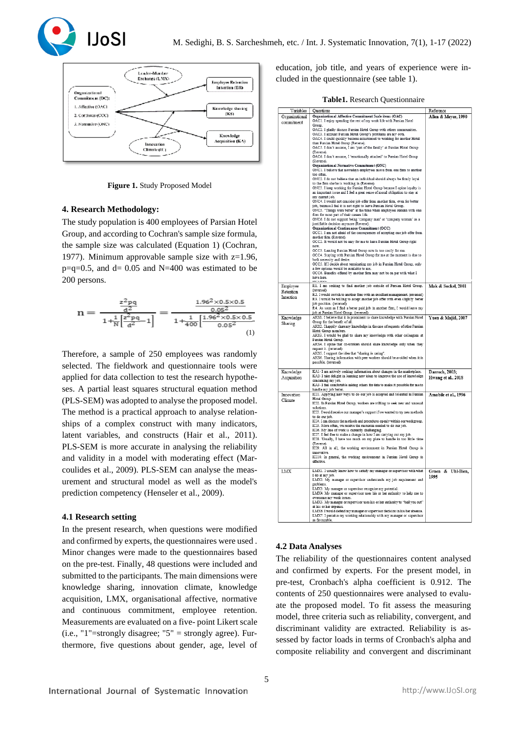



**Figure 1.** Study Proposed Model

## **4. Research Methodology:**

The study population is 400 employees of Parsian Hotel Group, and according to Cochran's sample size formula, the sample size was calculated (Equation 1) (Cochran, 1977). Minimum approvable sample size with  $z=1.96$ ,  $p=q=0.5$ , and  $d= 0.05$  and  $N=400$  was estimated to be 200 persons.

$$
n=\frac{\frac{z^2pq}{d^2}}{1+\frac{1}{N}\Big[\frac{z^2pq}{d^2}-1\Big]}=\frac{\frac{1.96^2\times 0.5\times 0.5}{0.05^2}}{1+\frac{1}{400}\Big[\frac{1.96^2\times 0.5\times 0.5}{0.05^2}\Big]}{(1)}
$$

Therefore, a sample of 250 employees was randomly selected. The fieldwork and questionnaire tools were applied for data collection to test the research hypotheses. A partial least squares structural equation method (PLS-SEM) was adopted to analyse the proposed model. The method is a practical approach to analyse relationships of a complex construct with many indicators, latent variables, and constructs (Hair et al., 2011). PLS-SEM is more accurate in analysing the reliability and validity in a model with moderating effect (Marcoulides et al., 2009). PLS-SEM can analyse the measurement and structural model as well as the model's prediction competency (Henseler et al., 2009).

## **4.1 Research setting**

In the present research, when questions were modified and confirmed by experts, the questionnaires were used . Minor changes were made to the questionnaires based on the pre-test. Finally, 48 questions were included and submitted to the participants. The main dimensions were knowledge sharing, innovation climate, knowledge acquisition, LMX, organisational affective, normative and continuous commitment, employee retention. Measurements are evaluated on a five- point Likert scale (i.e., "1"=strongly disagree; "5" = strongly agree). Furthermore, five questions about gender, age, level of education, job title, and years of experience were included in the questionnaire (see table 1).

| Variables                    | Questions                                                                                                                                       | Reference            |
|------------------------------|-------------------------------------------------------------------------------------------------------------------------------------------------|----------------------|
| Organizational<br>commitment | Organizational Affective Commitment Scale items (OAC)<br>OAC1. I enjoy spending the rest of my work life with Parsian Hotel                     | Allen & Meyer, 1990  |
|                              | <b>Group</b><br>OAC2. I gladly discuss Parsian Hotel Group with others communities.                                                             |                      |
|                              | OAC3. I account Parsian Hotel Group's problems are my own.                                                                                      |                      |
|                              | OAC4. I could quickly become accustomed to working for another Hotel<br>than Parsian Hotel Group (Reverse).                                     |                      |
|                              | OAC5. I don't assume, I am 'part of the family' at Parsian Hotel Group<br>(Reverse).                                                            |                      |
|                              | OAC6. I don't assume, I 'emotionally attached' to Parsian Hotel Group                                                                           |                      |
|                              | (Reverse).<br>Organizational Normative Commitment (ONC)                                                                                         |                      |
|                              | ONC1. I believe that nowadays employees move from one firm to another                                                                           |                      |
|                              | too often<br>ONC2. I do not believe that an individual should always be firmly loyal                                                            |                      |
|                              | to the firm she'he is working in (Reverse).<br>ONC3. I keep working for Parsian Hotel Group because I opine loyalty is                          |                      |
|                              | an important issue and I feel a great sense of moral obligation to stay at<br>my current job.                                                   |                      |
|                              | ONC4. I would not consider job offer from another firm, even for better                                                                         |                      |
|                              | job, because I feel it is not right to leave Parsian Hotel Group.<br>ONC5. "Things were better" at the time when employees remain with one      |                      |
|                              | firm for most part of their careers life.<br>ONC6. I do not support being 'company man' or 'company woman' as a                                 |                      |
|                              | justifiable decision anymore (Reverse).                                                                                                         |                      |
|                              | Organizational Continuance Commitment (OCC)<br>OCC1. I am not afraid of the consequences of accepting one job offer from                        |                      |
|                              | another firm (Reverse).<br>OCC2. It would not be easy for me to leave Parsian Hotel Group right                                                 |                      |
|                              | now.                                                                                                                                            |                      |
|                              | OCC3. Leaving Parsian Hotel Group now is too costly for me.<br>OCC4. Staying with Parsian Hotel Group for me at the moment is due to            |                      |
|                              | both necessity and desire.<br>OCC5. If I decide about terminating my job in Parsian Hotel Group, only                                           |                      |
|                              | a few options would be available to me.<br>OCC6. Benefits offered by another firm may not be on par with what I                                 |                      |
|                              | have here.                                                                                                                                      |                      |
| Employee                     | R1. I am seeking to find another job outside of Parsian Hotel Group.                                                                            | Mak & Sockel, 2001   |
| Retention<br>Intention       | (reversed)<br>R2. I would switch to another firm with an excellent management. (reversed)                                                       |                      |
|                              | R3. I would be willing to accept another job offer with even slightly better<br>job position. (reversed)                                        |                      |
|                              | R4. As soon as I find a better paid job in another firm, I would leave my<br>job at Parsian Hotel Group. (reversed)                             |                      |
| Knowledge                    | AKS1. I believe that it is prominent to share knowledge with Parsian Hotel                                                                      | Yuen & Majid, 2007   |
| Sharing                      | Group for the benefit of all.<br>AKS2. I happily share my knowledge in the case of requests of other Parsian                                    |                      |
|                              | Hotel Group members.<br>AKS3. I would be glad to share my knowledge with other colleagues at                                                    |                      |
|                              | Parsian Hotel Group.                                                                                                                            |                      |
|                              | AKS4. I opine that co-workers should share knowledge only when they<br>request it. (reversed)                                                   |                      |
|                              | AKS5. I support the idea that "sharing is caring".<br>AKS6. Sharing information with peer workers should be avoided when it is                  |                      |
|                              | possible. (reversed)                                                                                                                            |                      |
| Knowledge                    | KA1-I am actively seeking information about changes in the marketplace.                                                                         | Darroch, 2003;       |
| Acquisition                  | KA2- I take delight in learning new ideas to improve the use of knowledge<br>concerning my job.                                                 | Hwang et al., 2018   |
|                              | KA3-I feel comfortable asking others for data to make it possible for me to<br>handle my job better.                                            |                      |
| Innovation                   | ICI1. Applying new ways to do our job is accepted and tolerated in Parsian                                                                      | Amabile et al., 1996 |
| Climate                      | Hotel Group.<br>ICI2. In Parsian Hotel Group, workers are willing to seek new and unusual                                                       |                      |
|                              | solutions.<br>ICI3. I would receive our manager's support if we wanted to try new methods                                                       |                      |
|                              | to do our job.                                                                                                                                  |                      |
|                              | ICI4. I can discuss the methods and procedures openly within our workgroup.<br>ICI5. More often, we receive the resources needed to do our job. |                      |
|                              | ICI6. My line of work is currently challenging.<br>ICI7. I feel free to make a change in how I am carrying out my job.                          |                      |
|                              | ICIS. Usually, I have too much on my plate to handle in too little time<br>(Reverse).                                                           |                      |
|                              | ICI9. All in all, the working environment in Parsian Hotel Group is                                                                             |                      |
|                              | innovative.<br>ICI10. In general, the working environment in Parsian Hotel Group is                                                             |                      |
|                              | effective.                                                                                                                                      |                      |
| LMX                          | LMX1. I usually know how to satisfy my manager or supervisor with what<br>I do at my job.                                                       | Graen & Uhl-Bien.    |
|                              | LMX2. My manager or supervisor understands my job requirement and                                                                               | 1995                 |
|                              | problems.<br>LMX3. My manager or supervisor recognize my potential.                                                                             |                      |
|                              | LMX4. My manager or supervisor uses his or her authority to help me to<br>overcome mv work issues                                               |                      |
|                              | LMX5. My manager or supervisor uses his or her authority to "bail you out"                                                                      |                      |
|                              | at his or her expense.<br>LMX6. I would defend my manager or supervisor decision in his/her absence.                                            |                      |
|                              | LMX7. I perceive my working relationship with my manager or supervisor<br>as favourable.                                                        |                      |

## **4.2 Data Analyses**

The reliability of the questionnaires content analysed and confirmed by experts. For the present model, in pre-test, Cronbach's alpha coefficient is 0.912. The contents of 250 questionnaires were analysed to evaluate the proposed model. To fit assess the measuring model, three criteria such as reliability, convergent, and discriminant validity are extracted. Reliability is assessed by factor loads in terms of Cronbach's alpha and composite reliability and convergent and discriminant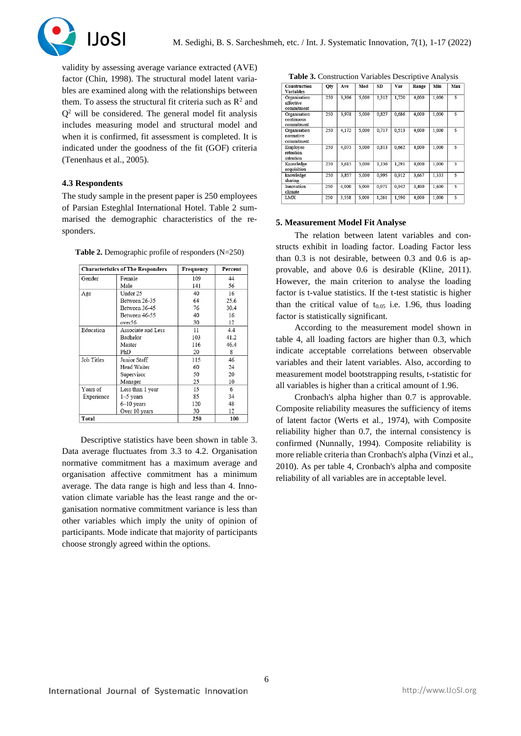

validity by assessing average variance extracted (AVE) factor (Chin, 1998). The structural model latent variables are examined along with the relationships between them. To assess the structural fit criteria such as  $\mathbb{R}^2$  and  $Q<sup>2</sup>$  will be considered. The general model fit analysis includes measuring model and structural model and when it is confirmed, fit assessment is completed. It is indicated under the goodness of the fit (GOF) criteria (Tenenhaus et al., 2005).

## **4.3 Respondents**

The study sample in the present paper is 250 employees of Parsian Esteghlal International Hotel. Table 2 summarised the demographic characteristics of the responders.

**Table 2.** Demographic profile of responders (N=250)

|            | <b>Characteristics of The Responders</b> | Frequency | Percent |
|------------|------------------------------------------|-----------|---------|
| Gender     | Female                                   | 109       | 44      |
|            | Male                                     | 141       | 56      |
| Age        | Under 25                                 | 40        | 16      |
|            | Between 26-35                            | 64        | 25.6    |
|            | Between 36-45                            | 76        | 30.4    |
|            | Between 46-55                            | 40        | 16      |
|            | over56                                   | 30        | 12      |
| Education  | Associate and Less                       | 11        | 4.4     |
|            | Bachelor                                 | 103       | 41.2    |
|            | Master                                   | 116       | 46.4    |
|            | PhD                                      | 20        | 8       |
| Job Titles | Junior Staff                             | 115       | 46      |
|            | Head Waiter                              | 60        | 24      |
|            | Supervisor                               | 50        | 20      |
|            | Manager                                  | 25        | 10      |
| Years of   | Less than 1 year                         | 15        | 6       |
| Experience | $1-5$ years                              | 85        | 34      |
|            | $6-10$ years                             | 120       | 48      |
|            | Over 10 years                            | 30        | 12      |
| Total      |                                          | 250       | 100     |

Descriptive statistics have been shown in table 3. Data average fluctuates from 3.3 to 4.2. Organisation normative commitment has a maximum average and organisation affective commitment has a minimum average. The data range is high and less than 4. Innovation climate variable has the least range and the organisation normative commitment variance is less than other variables which imply the unity of opinion of participants. Mode indicate that majority of participants choose strongly agreed within the options.

**Table 3.** Construction Variables Descriptive Analysis **Construction**<br>Variables  $\overline{\text{Min}}$  $\overline{\text{O}}$  $\overline{\mathbf{A}\mathbf{v}}$ Mod  $\overline{\text{SD}}$ Var Range Max  $\frac{1}{250}$  $3396$  $5000$  $1312$  $1720$  $4000$  $1000$ Organisation<br>affective :ommitr  $\overline{250}$ Organisation 3.978 5.000 0.827  $0.68$ 4.000 1.000 5 continuous commitment<br>Organisation  $\overline{250}$ 4,172  $5,000$  $0,717$  $0.513$  $4,000$  $1,000$ normative commitment Employee<br>retention 250 4,073 5,000 0,813 0,662 4,000 1,000  $\overline{5}$ intention  $K$ nowlado  $\overline{250}$  $3.615$  $5.000$  $1.136$  $1.291$ 4.000  $1000$ τ acquisition  $3,667$ knowledge  $\overline{250}$ 3.85  $5.000$ 0.995 0.912  $1.333$ 3 sharing<br>Innovation  $\overline{250}$  $4,000$ 5,000 0,971 0,942 3,400 1,600 5 climate<br>LMX  $\frac{250}{ }$ 3.558  $5.000$  $1.261$ 1.590 4.000 1.000  $\overline{5}$ 

#### **5. Measurement Model Fit Analyse**

The relation between latent variables and constructs exhibit in loading factor. Loading Factor less than 0.3 is not desirable, between 0.3 and 0.6 is approvable, and above 0.6 is desirable (Kline, 2011). However, the main criterion to analyse the loading factor is t-value statistics. If the t-test statistic is higher than the critical value of  $t_{0.05}$  i.e. 1.96, thus loading factor is statistically significant.

According to the measurement model shown in table 4, all loading factors are higher than 0.3, which indicate acceptable correlations between observable variables and their latent variables. Also, according to measurement model bootstrapping results, t-statistic for all variables is higher than a critical amount of 1.96.

Cronbach's alpha higher than 0.7 is approvable. Composite reliability measures the sufficiency of items of latent factor (Werts et al., 1974), with Composite reliability higher than 0.7, the internal consistency is confirmed (Nunnally, 1994). Composite reliability is more reliable criteria than Cronbach's alpha (Vinzi et al., 2010). As per table 4, Cronbach's alpha and composite reliability of all variables are in acceptable level.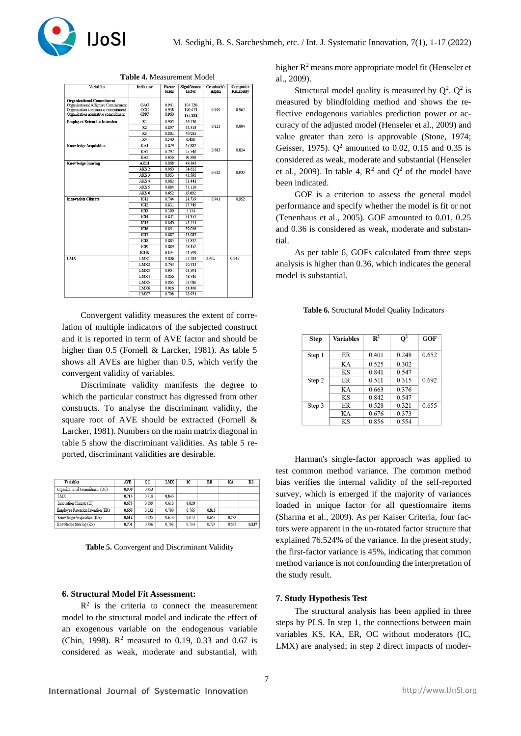

| <b>Variables</b>                                                          | <b>Indicator</b> | Factor<br>loads | Significance<br>factor | Cronbach's<br>Alpha | Composite<br><b>Reliability</b> |
|---------------------------------------------------------------------------|------------------|-----------------|------------------------|---------------------|---------------------------------|
|                                                                           |                  |                 |                        |                     |                                 |
| <b>Organizational Commitment</b>                                          |                  |                 |                        |                     |                                 |
| Organisational Affective Commitment<br>Organisation continuous commitment | OAC<br>occ       | 0941<br>0.958   | 104.720<br>190.473     | 0.949               | 0.967                           |
| Organisation normative commitment                                         | ONC              | 0.960           | 185.888                |                     |                                 |
| <b>Employee Retention Intention</b>                                       | $\overline{R1}$  | 0.905           | 56.176                 |                     |                                 |
|                                                                           | R <sub>2</sub>   | 0.897           | 62.513                 | 0.821               | 0.884                           |
|                                                                           | R3               | 0.861           | 49.055                 |                     |                                 |
|                                                                           | R <sub>4</sub>   | 0.540           | 6.408                  |                     |                                 |
| Knowledge Acquisition                                                     | KA1              | 0.879           | 67.882                 |                     |                                 |
|                                                                           | KA <sub>2</sub>  | 0.797           | 25.546                 | 0.683               | 0.824                           |
|                                                                           | KA3              | 0.656           | 10.308                 |                     |                                 |
| <b>Knowledge Sharing</b>                                                  | AKS1             | 0.868           | 49.393                 |                     |                                 |
|                                                                           | AKS <sub>2</sub> | 0.860           | 34.622                 |                     |                                 |
|                                                                           | AKS <sub>3</sub> | 0.853           | 43.595                 | 0.912               | 0.933                           |
|                                                                           | AKS <sub>4</sub> | 0.882           | 51.441                 |                     |                                 |
|                                                                           | AKS 5            | 0.884           | 51.119                 |                     |                                 |
|                                                                           | AKS <sub>6</sub> | 0.652           | 15.092                 |                     |                                 |
| <b>Innovation Climate</b>                                                 | ICI1             | 0.744           | 24.739                 | 0.941               | 0.952                           |
|                                                                           | IC <sub>12</sub> | 0.831           | 27.745                 |                     |                                 |
|                                                                           | IC <sub>13</sub> | 0.399           | 5.754                  |                     |                                 |
|                                                                           | ICI4             | 0.841           | 34.357                 |                     |                                 |
|                                                                           | <b>ICI5</b>      | 0.860           | 43.121                 |                     |                                 |
|                                                                           | ICI6             | 0.851           | 39.026                 |                     |                                 |
|                                                                           | ICI7             | 0.887           | 53.087                 |                     |                                 |
|                                                                           | IC <sub>18</sub> | 0.885           | 51.872                 |                     |                                 |
|                                                                           | ICI9             | 0.889           | 48.452                 |                     |                                 |
|                                                                           | <b>ICI10</b>     | 0.893           | 54.599                 |                     |                                 |
| <b>LMX</b>                                                                | LMX1             | 0.806           | 27.184                 | 0.932               | 0.945                           |
|                                                                           | LMX2             | 0.743           | 20.733                 |                     |                                 |
|                                                                           | LMX3             | 0.904           | 63.591                 |                     |                                 |
|                                                                           | LMX4             | 0.866           | 48.746                 |                     |                                 |
|                                                                           | LMX5             | 0.865           | 53.986                 |                     |                                 |
|                                                                           | LMX6             | 0.916           | 64.409                 |                     |                                 |
|                                                                           | LMX7             | 0.798           | 28.971                 |                     |                                 |

**Table 4.** Measurement Model

Convergent validity measures the extent of correlation of multiple indicators of the subjected construct and it is reported in term of AVE factor and should be higher than 0.5 (Fornell & Larcker, 1981). As table 5 shows all AVEs are higher than 0.5, which verify the convergent validity of variables.

Discriminate validity manifests the degree to which the particular construct has digressed from other constructs. To analyse the discriminant validity, the square root of AVE should be extracted (Fornell & Larcker, 1981). Numbers on the main matrix diagonal in table 5 show the discriminant validities. As table 5 reported, discriminant validities are desirable.

| <b>Variables</b>                  | AVE.  | OC.   | <b>LMX</b> | IC.   | ER    | KA    | KS    |
|-----------------------------------|-------|-------|------------|-------|-------|-------|-------|
| Organizational Commitment (OC)    | 0.908 | 0.953 |            |       |       |       |       |
| LMX                               | 0.713 | 0.718 | 0.845      |       |       |       |       |
| Innovation Climate (IC)           | 0.673 | 0.699 | 0.618      | 0.820 |       |       |       |
| Employee Retention Intention (ER) | 0.665 | 0.632 | 0.709      | 0.765 | 0.815 |       |       |
| Knowledge Acquisition (KA)        | 0.612 | 0.625 | 0.678      | 0.672 | 0.653 | 0.783 |       |
| Knowledge Sharing (KS)            | 0.701 | 0.786 | 0.708      | 0.784 | 0.724 | 0.653 | 0.837 |

**Table 5.** Convergent and Discriminant Validity

# **6. Structural Model Fit Assessment:**

 $R<sup>2</sup>$  is the criteria to connect the measurement model to the structural model and indicate the effect of an exogenous variable on the endogenous variable (Chin, 1998).  $R^2$  measured to 0.19, 0.33 and 0.67 is considered as weak, moderate and substantial, with

higher R<sup>2</sup> means more appropriate model fit (Henseler et al., 2009).

Structural model quality is measured by  $Q^2$ .  $Q^2$  is measured by blindfolding method and shows the reflective endogenous variables prediction power or accuracy of the adjusted model (Henseler et al., 2009) and value greater than zero is approvable (Stone, 1974; Geisser, 1975).  $Q^2$  amounted to 0.02, 0.15 and 0.35 is considered as weak, moderate and substantial (Henseler et al., 2009). In table 4,  $\mathbb{R}^2$  and  $\mathbb{Q}^2$  of the model have been indicated.

GOF is a criterion to assess the general model performance and specify whether the model is fit or not (Tenenhaus et al., 2005). GOF amounted to 0.01, 0.25 and 0.36 is considered as weak, moderate and substantial.

As per table 6, GOFs calculated from three steps analysis is higher than 0.36, which indicates the general model is substantial.

| Step   | <b>Variables</b> | $\mathbb{R}^2$ | $\mathbf{O}^2$ | <b>GOF</b> |
|--------|------------------|----------------|----------------|------------|
| Step 1 | ER               | 0.401          | 0.248          | 0.652      |
|        | KА               | 0.525          | 0.302          |            |
|        | <b>KS</b>        | 0.841          | 0.547          |            |
| Step 2 | <b>ER</b>        | 0.511          | 0.315          | 0.692      |
|        | KA               | 0.663          | 0.376          |            |
|        | <b>KS</b>        | 0.842          | 0.547          |            |
| Step 3 | ER               | 0.528          | 0.321          | 0.655      |
|        | KА               | 0.676          | 0.373          |            |
|        | ΚS               | 0.856          | 0.554          |            |

Harman's single-factor approach was applied to test common method variance. The common method bias verifies the internal validity of the self-reported survey, which is emerged if the majority of variances loaded in unique factor for all questionnaire items (Sharma et al., 2009). As per Kaiser Criteria, four factors were apparent in the un-rotated factor structure that explained 76.524% of the variance. In the present study, the first-factor variance is 45%, indicating that common method variance is not confounding the interpretation of the study result.

## **7. Study Hypothesis Test**

The structural analysis has been applied in three steps by PLS. In step 1, the connections between main variables KS, KA, ER, OC without moderators (IC, LMX) are analysed; in step 2 direct impacts of moder-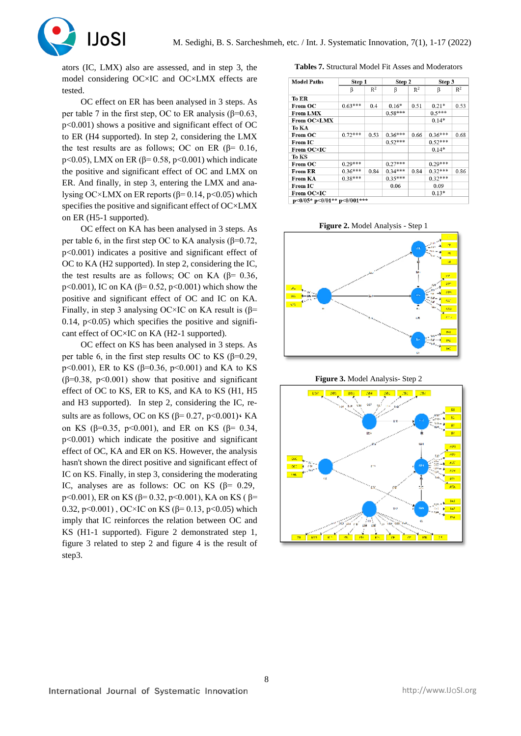

ators (IC, LMX) also are assessed, and in step 3, the model considering OC×IC and OC×LMX effects are tested.

OC effect on ER has been analysed in 3 steps. As per table 7 in the first step, OC to ER analysis ( $\beta$ =0.63, p<0.001) shows a positive and significant effect of OC to ER (H4 supported). In step 2, considering the LMX the test results are as follows; OC on ER (β= 0.16, p<0.05), LMX on ER (β= 0.58, p<0.001) which indicate the positive and significant effect of OC and LMX on ER. And finally, in step 3, entering the LMX and analysing OC×LMX on ER reports ( $β=0.14$ ,  $p<0.05$ ) which specifies the positive and significant effect of OC×LMX on ER (H5-1 supported).

OC effect on KA has been analysed in 3 steps. As per table 6, in the first step OC to KA analysis ( $\beta$ =0.72, p<0.001) indicates a positive and significant effect of OC to KA (H2 supported). In step 2, considering the IC, the test results are as follows; OC on KA ( $\beta$ = 0.36, p<0.001), IC on KA (β= 0.52, p<0.001) which show the positive and significant effect of OC and IC on KA. Finally, in step 3 analysing OC×IC on KA result is  $(\beta =$ 0.14,  $p<0.05$ ) which specifies the positive and significant effect of OC×IC on KA (H2-1 supported).

OC effect on KS has been analysed in 3 steps. As per table 6, in the first step results OC to KS ( $\beta$ =0.29, p<0.001), ER to KS ( $\beta$ =0.36, p<0.001) and KA to KS ( $\beta$ =0.38, p<0.001) show that positive and significant effect of OC to KS, ER to KS, and KA to KS (H1, H5 and H3 supported). In step 2, considering the IC, results are as follows, OC on KS ( $\beta$ = 0.27, p<0.001) $\cdot$ KA on KS (β=0.35, p<0.001), and ER on KS (β= 0.34, p<0.001) which indicate the positive and significant effect of OC, KA and ER on KS. However, the analysis hasn't shown the direct positive and significant effect of IC on KS. Finally, in step 3, considering the moderating IC, analyses are as follows: OC on KS ( $\beta$ = 0.29, p<0.001), ER on KS ( $\beta$ = 0.32, p<0.001), KA on KS ( $\beta$ = 0.32, p<0.001), OC×IC on KS (β= 0.13, p<0.05) which imply that IC reinforces the relation between OC and KS (H1-1 supported). Figure 2 demonstrated step 1, figure 3 related to step 2 and figure 4 is the result of step3.

**Tables 7.** Structural Model Fit Asses and Moderators

| <b>Model Paths</b>          | Step 1    |       | Step 2    |       | Step 3    |       |
|-----------------------------|-----------|-------|-----------|-------|-----------|-------|
|                             | β         | $R^2$ | β         | $R^2$ | β         | $R^2$ |
| To ER                       |           |       |           |       |           |       |
| From OC                     | $0.63***$ | 0.4   | $0.16*$   | 0.51  | $0.21*$   | 0.53  |
| <b>From LMX</b>             |           |       | $0.58***$ |       | $0.5***$  |       |
| <b>From OC×LMX</b>          |           |       |           |       | $0.14*$   |       |
| To KA                       |           |       |           |       |           |       |
| From OC                     | $0.72***$ | 0.53  | $0.36***$ | 0.66  | $0.36***$ | 0.68  |
| <b>From IC</b>              |           |       | $0.52***$ |       | $0.52***$ |       |
| From OC×IC                  |           |       |           |       | $0.14*$   |       |
| To KS                       |           |       |           |       |           |       |
| From OC                     | $0.29***$ |       | $0.27***$ |       | $0.29***$ |       |
| <b>From ER</b>              | $0.36***$ | 0.84  | $0.34***$ | 0.84  | $0.32***$ | 0.86  |
| From KA                     | $0.38***$ |       | $0.35***$ |       | $0.32***$ |       |
| <b>From IC</b>              |           |       | 0.06      |       | 0.09      |       |
| From OC×IC                  |           |       |           |       | $0.13*$   |       |
| p<0/05* p<0/01** p<0/001*** |           |       |           |       |           |       |

**Figure 2.** Model Analysis - Step 1

**Figure 3.** Model Analysis- Step 2

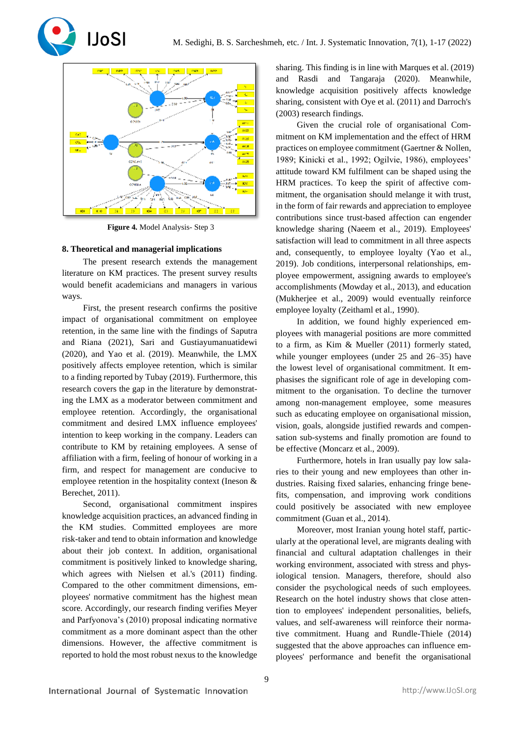



**Figure 4.** Model Analysis- Step 3

## **8. Theoretical and managerial implications**

The present research extends the management literature on KM practices. The present survey results would benefit academicians and managers in various ways.

First, the present research confirms the positive impact of organisational commitment on employee retention, in the same line with the findings of Saputra and Riana (2021), Sari and Gustiayumanuatidewi (2020), and Yao et al. (2019). Meanwhile, the LMX positively affects employee retention, which is similar to a finding reported by Tubay (2019). Furthermore, this research covers the gap in the literature by demonstrating the LMX as a moderator between commitment and employee retention. Accordingly, the organisational commitment and desired LMX influence employees' intention to keep working in the company. Leaders can contribute to KM by retaining employees. A sense of affiliation with a firm, feeling of honour of working in a firm, and respect for management are conducive to employee retention in the hospitality context (Ineson & Berechet, 2011).

Second, organisational commitment inspires knowledge acquisition practices, an advanced finding in the KM studies. Committed employees are more risk-taker and tend to obtain information and knowledge about their job context. In addition, organisational commitment is positively linked to knowledge sharing, which agrees with Nielsen et al.'s (2011) finding. Compared to the other commitment dimensions, employees' normative commitment has the highest mean score. Accordingly, our research finding verifies Meyer and Parfyonova's (2010) proposal indicating normative commitment as a more dominant aspect than the other dimensions. However, the affective commitment is reported to hold the most robust nexus to the knowledge

sharing. This finding is in line with Marques et al. (2019) and Rasdi and Tangaraja (2020). Meanwhile, knowledge acquisition positively affects knowledge sharing, consistent with Oye et al. (2011) and Darroch's (2003) research findings.

Given the crucial role of organisational Commitment on KM implementation and the effect of HRM practices on employee commitment (Gaertner & Nollen, 1989; Kinicki et al., 1992; Ogilvie, 1986), employees' attitude toward KM fulfilment can be shaped using the HRM practices. To keep the spirit of affective commitment, the organisation should melange it with trust, in the form of fair rewards and appreciation to employee contributions since trust-based affection can engender knowledge sharing (Naeem et al., 2019). Employees' satisfaction will lead to commitment in all three aspects and, consequently, to employee loyalty (Yao et al., 2019). Job conditions, interpersonal relationships, employee empowerment, assigning awards to employee's accomplishments (Mowday et al., 2013), and education (Mukherjee et al., 2009) would eventually reinforce employee loyalty (Zeithaml et al., 1990).

In addition, we found highly experienced employees with managerial positions are more committed to a firm, as Kim & Mueller (2011) formerly stated, while younger employees (under 25 and 26–35) have the lowest level of organisational commitment. It emphasises the significant role of age in developing commitment to the organisation. To decline the turnover among non-management employee, some measures such as educating employee on organisational mission, vision, goals, alongside justified rewards and compensation sub-systems and finally promotion are found to be effective (Moncarz et al., 2009).

Furthermore, hotels in Iran usually pay low salaries to their young and new employees than other industries. Raising fixed salaries, enhancing fringe benefits, compensation, and improving work conditions could positively be associated with new employee commitment (Guan et al., 2014).

Moreover, most Iranian young hotel staff, particularly at the operational level, are migrants dealing with financial and cultural adaptation challenges in their working environment, associated with stress and physiological tension. Managers, therefore, should also consider the psychological needs of such employees. Research on the hotel industry shows that close attention to employees' independent personalities, beliefs, values, and self-awareness will reinforce their normative commitment. Huang and Rundle-Thiele (2014) suggested that the above approaches can influence employees' performance and benefit the organisational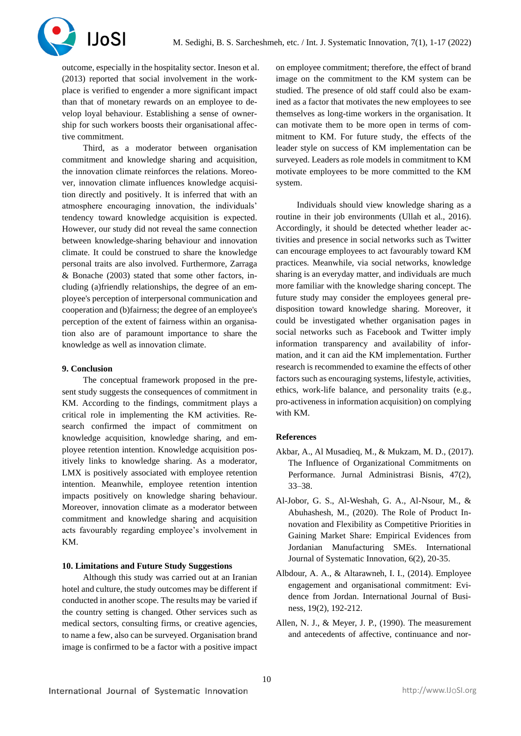

outcome, especially in the hospitality sector. Ineson et al. (2013) reported that social involvement in the workplace is verified to engender a more significant impact than that of monetary rewards on an employee to develop loyal behaviour. Establishing a sense of ownership for such workers boosts their organisational affective commitment.

Third, as a moderator between organisation commitment and knowledge sharing and acquisition, the innovation climate reinforces the relations. Moreover, innovation climate influences knowledge acquisition directly and positively. It is inferred that with an atmosphere encouraging innovation, the individuals' tendency toward knowledge acquisition is expected. However, our study did not reveal the same connection between knowledge-sharing behaviour and innovation climate. It could be construed to share the knowledge personal traits are also involved. Furthermore, Zarraga & Bonache (2003) stated that some other factors, including (a)friendly relationships, the degree of an employee's perception of interpersonal communication and cooperation and (b)fairness; the degree of an employee's perception of the extent of fairness within an organisation also are of paramount importance to share the knowledge as well as innovation climate.

## **9. Conclusion**

The conceptual framework proposed in the present study suggests the consequences of commitment in KM. According to the findings, commitment plays a critical role in implementing the KM activities. Research confirmed the impact of commitment on knowledge acquisition, knowledge sharing, and employee retention intention. Knowledge acquisition positively links to knowledge sharing. As a moderator, LMX is positively associated with employee retention intention. Meanwhile, employee retention intention impacts positively on knowledge sharing behaviour. Moreover, innovation climate as a moderator between commitment and knowledge sharing and acquisition acts favourably regarding employee's involvement in KM.

#### **10. Limitations and Future Study Suggestions**

Although this study was carried out at an Iranian hotel and culture, the study outcomes may be different if conducted in another scope. The results may be varied if the country setting is changed. Other services such as medical sectors, consulting firms, or creative agencies, to name a few, also can be surveyed. Organisation brand image is confirmed to be a factor with a positive impact

on employee commitment; therefore, the effect of brand image on the commitment to the KM system can be studied. The presence of old staff could also be examined as a factor that motivates the new employees to see themselves as long-time workers in the organisation. It can motivate them to be more open in terms of commitment to KM. For future study, the effects of the leader style on success of KM implementation can be surveyed. Leaders as role models in commitment to KM motivate employees to be more committed to the KM system.

Individuals should view knowledge sharing as a routine in their job environments (Ullah et al., 2016). Accordingly, it should be detected whether leader activities and presence in social networks such as Twitter can encourage employees to act favourably toward KM practices. Meanwhile, via social networks, knowledge sharing is an everyday matter, and individuals are much more familiar with the knowledge sharing concept. The future study may consider the employees general predisposition toward knowledge sharing. Moreover, it could be investigated whether organisation pages in social networks such as Facebook and Twitter imply information transparency and availability of information, and it can aid the KM implementation. Further research is recommended to examine the effects of other factors such as encouraging systems, lifestyle, activities, ethics, work-life balance, and personality traits (e.g., pro-activeness in information acquisition) on complying with KM.

## **References**

- Akbar, A., Al Musadieq, M., & Mukzam, M. D., (2017). The Influence of Organizational Commitments on Performance. Jurnal Administrasi Bisnis, 47(2), 33–38.
- Al-Jobor, G. S., Al-Weshah, G. A., Al-Nsour, M., & Abuhashesh, M., (2020). The Role of Product Innovation and Flexibility as Competitive Priorities in Gaining Market Share: Empirical Evidences from Jordanian Manufacturing SMEs. International Journal of Systematic Innovation, 6(2), 20-35.
- Albdour, A. A., & Altarawneh, I. I., (2014). Employee engagement and organisational commitment: Evidence from Jordan. International Journal of Business, 19(2), 192-212.
- Allen, N. J., & Meyer, J. P., (1990). The measurement and antecedents of affective, continuance and nor-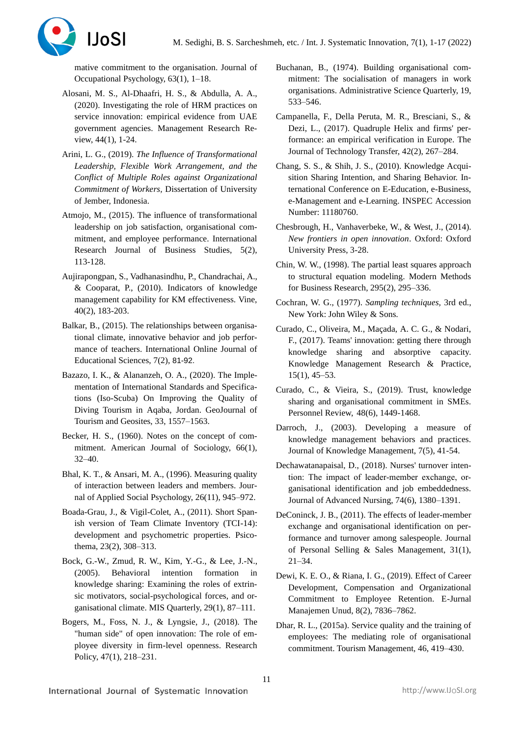

mative commitment to the organisation. Journal of Occupational Psychology, 63(1), 1–18.

- Alosani, M. S., Al-Dhaafri, H. S., & Abdulla, A. A., (2020). Investigating the role of HRM practices on service innovation: empirical evidence from UAE government agencies. Management Research Review, 44(1), 1-24.
- Arini, L. G., (2019). *The Influence of Transformational Leadership, Flexible Work Arrangement, and the Conflict of Multiple Roles against Organizational Commitment of Workers,* Dissertation of University of Jember, Indonesia.
- Atmojo, M., (2015). The influence of transformational leadership on job satisfaction, organisational commitment, and employee performance. International Research Journal of Business Studies, 5(2), 113-128.
- Aujirapongpan, S., Vadhanasindhu, P., Chandrachai, A., & Cooparat, P., (2010). Indicators of knowledge management capability for KM effectiveness. Vine, 40(2), 183-203.
- Balkar, B., (2015). The relationships between organisational climate, innovative behavior and job performance of teachers. International Online Journal of Educational Sciences, 7(2), 81-92.
- Bazazo, I. K., & Alananzeh, O. A., (2020). The Implementation of International Standards and Specifications (Iso-Scuba) On Improving the Quality of Diving Tourism in Aqaba, Jordan. GeoJournal of Tourism and Geosites, 33, 1557–1563.
- Becker, H. S., (1960). Notes on the concept of commitment. American Journal of Sociology, 66(1), 32–40.
- Bhal, K. T., & Ansari, M. A., (1996). Measuring quality of interaction between leaders and members. Journal of Applied Social Psychology, 26(11), 945–972.
- Boada-Grau, J., & Vigil-Colet, A., (2011). Short Spanish version of Team Climate Inventory (TCI-14): development and psychometric properties. Psicothema, 23(2), 308–313.
- Bock, G.-W., Zmud, R. W., Kim, Y.-G., & Lee, J.-N., (2005). Behavioral intention formation in knowledge sharing: Examining the roles of extrinsic motivators, social-psychological forces, and organisational climate. MIS Quarterly, 29(1), 87–111.
- Bogers, M., Foss, N. J., & Lyngsie, J., (2018). The "human side" of open innovation: The role of employee diversity in firm-level openness. Research Policy, 47(1), 218–231.
- Buchanan, B., (1974). Building organisational commitment: The socialisation of managers in work organisations. Administrative Science Quarterly, 19, 533–546.
- Campanella, F., Della Peruta, M. R., Bresciani, S., & Dezi, L., (2017). Quadruple Helix and firms' performance: an empirical verification in Europe. The Journal of Technology Transfer, 42(2), 267–284.
- Chang, S. S., & Shih, J. S., (2010). Knowledge Acquisition Sharing Intention, and Sharing Behavior. International Conference on E-Education, e-Business, e-Management and e-Learning. INSPEC Accession Number: 11180760.
- Chesbrough, H., Vanhaverbeke, W., & West, J., (2014). *New frontiers in open innovation*. Oxford: Oxford University Press, 3-28.
- Chin, W. W., (1998). The partial least squares approach to structural equation modeling. Modern Methods for Business Research, 295(2), 295–336.
- Cochran, W. G., (1977). *Sampling techniques,* 3rd ed., New York: John Wiley & Sons*.*
- Curado, C., Oliveira, M., Maçada, A. C. G., & Nodari, F., (2017). Teams' innovation: getting there through knowledge sharing and absorptive capacity. Knowledge Management Research & Practice, 15(1), 45–53.
- Curado, C., & Vieira, S., (2019). Trust, knowledge sharing and organisational commitment in SMEs. Personnel Review, 48(6), 1449-1468.
- Darroch, J., (2003). Developing a measure of knowledge management behaviors and practices. Journal of Knowledge Management, 7(5), 41-54.
- Dechawatanapaisal, D., (2018). Nurses' turnover intention: The impact of leader‐member exchange, organisational identification and job embeddedness. Journal of Advanced Nursing, 74(6), 1380–1391.
- DeConinck, J. B., (2011). The effects of leader-member exchange and organisational identification on performance and turnover among salespeople. Journal of Personal Selling & Sales Management, 31(1), 21–34.
- Dewi, K. E. O., & Riana, I. G., (2019). Effect of Career Development, Compensation and Organizational Commitment to Employee Retention. E-Jurnal Manajemen Unud, 8(2), 7836–7862.
- Dhar, R. L., (2015a). Service quality and the training of employees: The mediating role of organisational commitment. Tourism Management, 46, 419–430.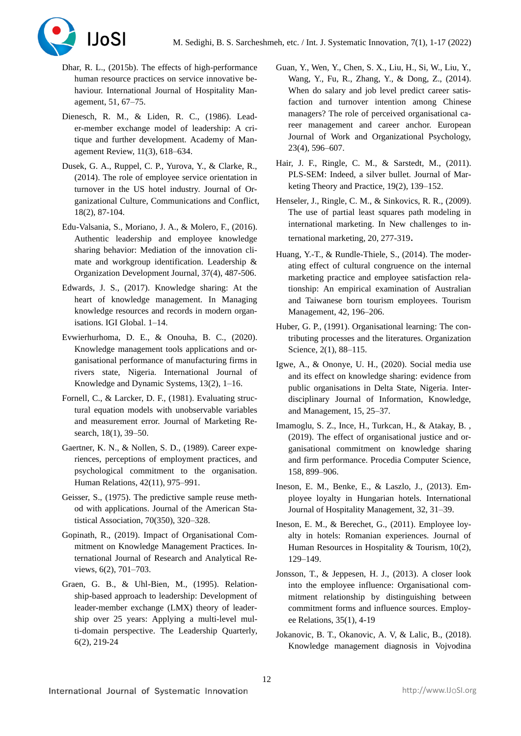

- Dhar, R. L., (2015b). The effects of high-performance human resource practices on service innovative behaviour. International Journal of Hospitality Management, 51, 67–75.
- Dienesch, R. M., & Liden, R. C., (1986). Leader-member exchange model of leadership: A critique and further development. Academy of Management Review, 11(3), 618–634.
- Dusek, G. A., Ruppel, C. P., Yurova, Y., & Clarke, R., (2014). The role of employee service orientation in turnover in the US hotel industry. Journal of Organizational Culture, Communications and Conflict, 18(2), 87-104.
- Edu-Valsania, S., Moriano, J. A., & Molero, F., (2016). Authentic leadership and employee knowledge sharing behavior: Mediation of the innovation climate and workgroup identification. Leadership & Organization Development Journal, 37(4), 487-506.
- Edwards, J. S., (2017). Knowledge sharing: At the heart of knowledge management. In Managing knowledge resources and records in modern organisations. IGI Global. 1–14.
- Evwierhurhoma, D. E., & Onouha, B. C., (2020). Knowledge management tools applications and organisational performance of manufacturing firms in rivers state, Nigeria. International Journal of Knowledge and Dynamic Systems, 13(2), 1–16.
- Fornell, C., & Larcker, D. F., (1981). Evaluating structural equation models with unobservable variables and measurement error. Journal of Marketing Research, 18(1), 39–50.
- Gaertner, K. N., & Nollen, S. D., (1989). Career experiences, perceptions of employment practices, and psychological commitment to the organisation. Human Relations, 42(11), 975–991.
- Geisser, S., (1975). The predictive sample reuse method with applications. Journal of the American Statistical Association, 70(350), 320–328.
- Gopinath, R., (2019). Impact of Organisational Commitment on Knowledge Management Practices. International Journal of Research and Analytical Reviews, 6(2), 701–703.
- Graen, G. B., & Uhl-Bien, M., (1995). Relationship-based approach to leadership: Development of leader-member exchange (LMX) theory of leadership over 25 years: Applying a multi-level multi-domain perspective. [The Leadership Quarterly,](https://www.sciencedirect.com/science/journal/10489843) [6\(2\)](https://www.sciencedirect.com/science/journal/10489843/6/2), 219-24
- Guan, Y., Wen, Y., Chen, S. X., Liu, H., Si, W., Liu, Y., Wang, Y., Fu, R., Zhang, Y., & Dong, Z., (2014). When do salary and job level predict career satisfaction and turnover intention among Chinese managers? The role of perceived organisational career management and career anchor. European Journal of Work and Organizational Psychology, 23(4), 596–607.
- Hair, J. F., Ringle, C. M., & Sarstedt, M., (2011). PLS-SEM: Indeed, a silver bullet. Journal of Marketing Theory and Practice, 19(2), 139–152.
- Henseler, J., Ringle, C. M., & Sinkovics, R. R., (2009). The use of partial least squares path modeling in international marketing. In New challenges to international marketing, 20, 277-319.
- Huang, Y.-T., & Rundle-Thiele, S., (2014). The moderating effect of cultural congruence on the internal marketing practice and employee satisfaction relationship: An empirical examination of Australian and Taiwanese born tourism employees. Tourism Management, 42, 196–206.
- Huber, G. P., (1991). Organisational learning: The contributing processes and the literatures. Organization Science, 2(1), 88–115.
- Igwe, A., & Ononye, U. H., (2020). Social media use and its effect on knowledge sharing: evidence from public organisations in Delta State, Nigeria. Interdisciplinary Journal of Information, Knowledge, and Management, 15, 25–37.
- Imamoglu, S. Z., Ince, H., Turkcan, H., & Atakay, B. , (2019). The effect of organisational justice and organisational commitment on knowledge sharing and firm performance. Procedia Computer Science, 158, 899–906.
- Ineson, E. M., Benke, E., & Laszlo, J., (2013). Employee loyalty in Hungarian hotels. International Journal of Hospitality Management, 32, 31–39.
- Ineson, E. M., & Berechet, G., (2011). Employee loyalty in hotels: Romanian experiences. Journal of Human Resources in Hospitality & Tourism, 10(2), 129–149.
- Jonsson, T., & Jeppesen, H. J., (2013). A closer look into the employee influence: Organisational commitment relationship by distinguishing between commitment forms and influence sources. Employee Relations, 35(1), 4-19
- Jokanovic, B. T., Okanovic, A. V, & Lalic, B., (2018). Knowledge management diagnosis in Vojvodina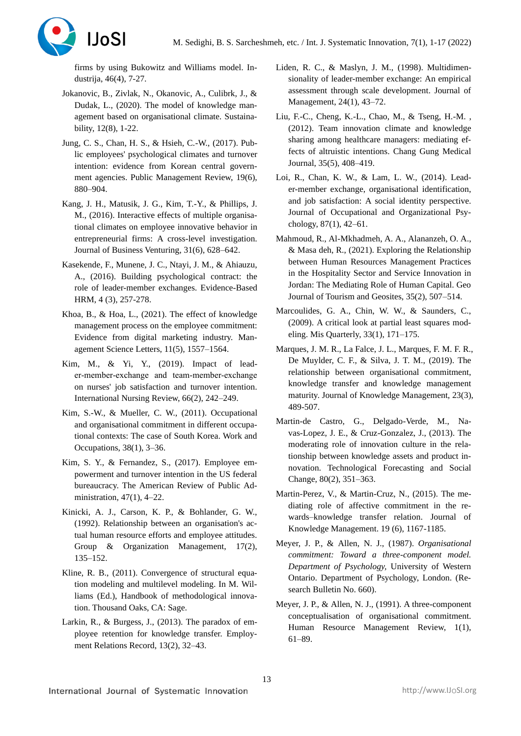

firms by using Bukowitz and Williams model. Industrija, 46(4), 7-27.

- Jokanovic, B., Zivlak, N., Okanovic, A., Culibrk, J., & Dudak, L., (2020). The model of knowledge management based on organisational climate. Sustainability, 12(8), 1-22.
- Jung, C. S., Chan, H. S., & Hsieh, C.-W., (2017). Public employees' psychological climates and turnover intention: evidence from Korean central government agencies. Public Management Review, 19(6), 880–904.
- Kang, J. H., Matusik, J. G., Kim, T.-Y., & Phillips, J. M., (2016). Interactive effects of multiple organisational climates on employee innovative behavior in entrepreneurial firms: A cross-level investigation. Journal of Business Venturing, 31(6), 628–642.
- Kasekende, F., Munene, J. C., Ntayi, J. M., & Ahiauzu, A., (2016). Building psychological contract: the role of leader-member exchanges. Evidence-Based HRM, 4 (3), 257-278.
- Khoa, B., & Hoa, L., (2021). The effect of knowledge management process on the employee commitment: Evidence from digital marketing industry. Management Science Letters, 11(5), 1557–1564.
- Kim, M., & Yi, Y., (2019). Impact of leader‐member‐exchange and team‐member‐exchange on nurses' job satisfaction and turnover intention. International Nursing Review, 66(2), 242–249.
- Kim, S.-W., & Mueller, C. W., (2011). Occupational and organisational commitment in different occupational contexts: The case of South Korea. Work and Occupations, 38(1), 3–36.
- Kim, S. Y., & Fernandez, S., (2017). Employee empowerment and turnover intention in the US federal bureaucracy. The American Review of Public Administration, 47(1), 4–22.
- Kinicki, A. J., Carson, K. P., & Bohlander, G. W., (1992). Relationship between an organisation's actual human resource efforts and employee attitudes. Group & Organization Management, 17(2), 135–152.
- Kline, R. B., (2011). Convergence of structural equation modeling and multilevel modeling. In M. Williams (Ed.), Handbook of methodological innovation. Thousand Oaks, CA: Sage.
- Larkin, R., & Burgess, J., (2013). The paradox of employee retention for knowledge transfer. Employment Relations Record, 13(2), 32–43.
- Liden, R. C., & Maslyn, J. M., (1998). Multidimensionality of leader-member exchange: An empirical assessment through scale development. Journal of Management, 24(1), 43–72.
- Liu, F.-C., Cheng, K.-L., Chao, M., & Tseng, H.-M. , (2012). Team innovation climate and knowledge sharing among healthcare managers: mediating effects of altruistic intentions. Chang Gung Medical Journal, 35(5), 408–419.
- Loi, R., Chan, K. W., & Lam, L. W., (2014). Leader-member exchange, organisational identification, and job satisfaction: A social identity perspective. Journal of Occupational and Organizational Psychology, 87(1), 42–61.
- Mahmoud, R., Al-Mkhadmeh, A. A., Alananzeh, O. A., & Masa deh, R., (2021). Exploring the Relationship between Human Resources Management Practices in the Hospitality Sector and Service Innovation in Jordan: The Mediating Role of Human Capital. Geo Journal of Tourism and Geosites, 35(2), 507–514.
- Marcoulides, G. A., Chin, W. W., & Saunders, C., (2009). A critical look at partial least squares modeling. Mis Quarterly, 33(1), 171–175.
- Marques, J. M. R., La Falce, J. L., Marques, F. M. F. R., De Muylder, C. F., & Silva, J. T. M., (2019). The relationship between organisational commitment, knowledge transfer and knowledge management maturity. Journal of Knowledge Management, 23(3), 489-507.
- Martin-de Castro, G., Delgado-Verde, M., Navas-Lopez, J. E., & Cruz-Gonzalez, J., (2013). The moderating role of innovation culture in the relationship between knowledge assets and product innovation. Technological Forecasting and Social Change, 80(2), 351–363.
- Martin-Perez, V., & Martin-Cruz, N., (2015). The mediating role of affective commitment in the rewards–knowledge transfer relation. Journal of Knowledge Management. 19 (6), 1167-1185.
- Meyer, J. P., & Allen, N. J., (1987). *Organisational commitment: Toward a three-component model. Department of Psychology,* University of Western Ontario. Department of Psychology, London. (Research Bulletin No. 660).
- Meyer, J. P., & Allen, N. J., (1991). A three-component conceptualisation of organisational commitment. Human Resource Management Review, 1(1), 61–89.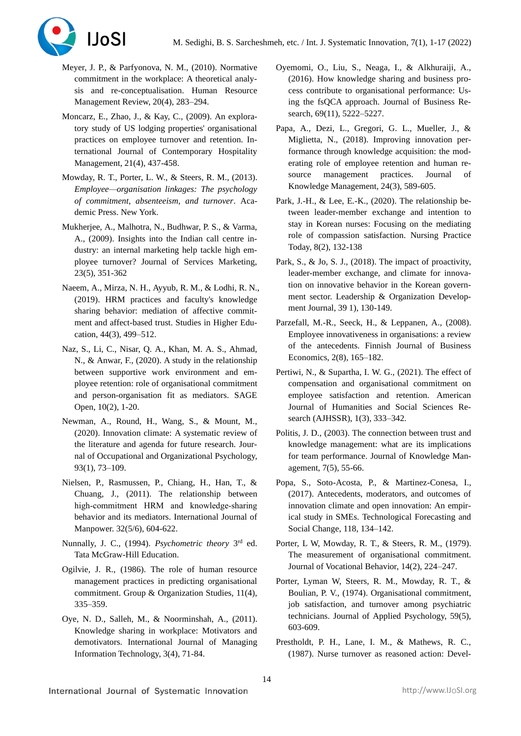

- Meyer, J. P., & Parfyonova, N. M., (2010). Normative commitment in the workplace: A theoretical analysis and re-conceptualisation. Human Resource Management Review, 20(4), 283–294.
- Moncarz, E., Zhao, J., & Kay, C., (2009). An exploratory study of US lodging properties' organisational practices on employee turnover and retention. International Journal of Contemporary Hospitality Management, 21(4), 437-458.
- Mowday, R. T., Porter, L. W., & Steers, R. M., (2013). *Employee—organisation linkages: The psychology of commitment, absenteeism, and turnover*. Academic Press. New York.
- Mukherjee, A., Malhotra, N., Budhwar, P. S., & Varma, A., (2009). Insights into the Indian call centre industry: an internal marketing help tackle high employee turnover? Journal of Services Marketing, 23(5), 351-362
- Naeem, A., Mirza, N. H., Ayyub, R. M., & Lodhi, R. N., (2019). HRM practices and faculty's knowledge sharing behavior: mediation of affective commitment and affect-based trust. Studies in Higher Education, 44(3), 499–512.
- Naz, S., Li, C., Nisar, Q. A., Khan, M. A. S., Ahmad, N., & Anwar, F., (2020). A study in the relationship between supportive work environment and employee retention: role of organisational commitment and person-organisation fit as mediators. SAGE Open, 10(2), 1-20.
- Newman, A., Round, H., Wang, S., & Mount, M., (2020). Innovation climate: A systematic review of the literature and agenda for future research. Journal of Occupational and Organizational Psychology, 93(1), 73–109.
- Nielsen, P., Rasmussen, P., Chiang, H., Han, T., & Chuang, J., (2011). The relationship between high-commitment HRM and knowledge-sharing behavior and its mediators. International Journal of Manpower. 32(5/6), 604-622.
- Nunnally, J. C., (1994). *Psychometric theory* 3<sup>rd</sup> ed. Tata McGraw-Hill Education.
- Ogilvie, J. R., (1986). The role of human resource management practices in predicting organisational commitment. Group & Organization Studies, 11(4), 335–359.
- Oye, N. D., Salleh, M., & Noorminshah, A., (2011). Knowledge sharing in workplace: Motivators and demotivators. International Journal of Managing Information Technology, 3(4), 71-84.
- Oyemomi, O., Liu, S., Neaga, I., & Alkhuraiji, A., (2016). How knowledge sharing and business process contribute to organisational performance: Using the fsQCA approach. Journal of Business Research, 69(11), 5222–5227.
- Papa, A., Dezi, L., Gregori, G. L., Mueller, J., & Miglietta, N., (2018). Improving innovation performance through knowledge acquisition: the moderating role of employee retention and human resource management practices. Journal of Knowledge Management, 24(3), 589-605.
- Park, J.-H., & Lee, E.-K., (2020). The relationship between leader-member exchange and intention to stay in Korean nurses: Focusing on the mediating role of compassion satisfaction. Nursing Practice Today, 8(2), 132-138
- Park, S., & Jo, S. J., (2018). The impact of proactivity, leader-member exchange, and climate for innovation on innovative behavior in the Korean government sector. Leadership & Organization Development Journal, 39 1), 130-149.
- Parzefall, M.-R., Seeck, H., & Leppanen, A., (2008). Employee innovativeness in organisations: a review of the antecedents. Finnish Journal of Business Economics, 2(8), 165–182.
- Pertiwi, N., & Supartha, I. W. G., (2021). The effect of compensation and organisational commitment on employee satisfaction and retention. American Journal of Humanities and Social Sciences Research (AJHSSR), 1(3), 333–342.
- Politis, J. D., (2003). The connection between trust and knowledge management: what are its implications for team performance. Journal of Knowledge Management, 7(5), 55-66.
- Popa, S., Soto-Acosta, P., & Martinez-Conesa, I., (2017). Antecedents, moderators, and outcomes of innovation climate and open innovation: An empirical study in SMEs. Technological Forecasting and Social Change, 118, 134–142.
- Porter, L W, Mowday, R. T., & Steers, R. M., (1979). The measurement of organisational commitment. Journal of Vocational Behavior, 14(2), 224–247.
- Porter, Lyman W, Steers, R. M., Mowday, R. T., & Boulian, P. V., (1974). Organisational commitment, job satisfaction, and turnover among psychiatric technicians. Journal of Applied Psychology, 59(5), 603-609.
- Prestholdt, P. H., Lane, I. M., & Mathews, R. C., (1987). Nurse turnover as reasoned action: Devel-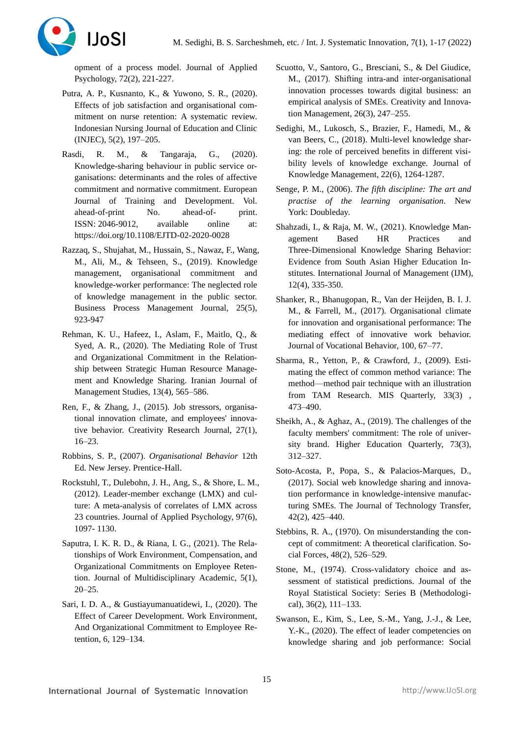

opment of a process model. Journal of Applied Psychology, 72(2), 221-227.

- Putra, A. P., Kusnanto, K., & Yuwono, S. R., (2020). Effects of job satisfaction and organisational commitment on nurse retention: A systematic review. Indonesian Nursing Journal of Education and Clinic (INJEC), 5(2), 197–205.
- Rasdi, R. M., & Tangaraja, G., (2020). Knowledge-sharing behaviour in public service organisations: determinants and the roles of affective commitment and normative commitment. European Journal of Training and Development. Vol. ahead-of-print No. ahead-of- print. ISSN: 2046-9012, available online at: <https://doi.org/10.1108/EJTD-02-2020-0028>
- Razzaq, S., Shujahat, M., Hussain, S., Nawaz, F., Wang, M., Ali, M., & Tehseen, S., (2019). Knowledge management, organisational commitment and knowledge-worker performance: The neglected role of knowledge management in the public sector. Business Process Management Journal, 25(5), 923-947
- Rehman, K. U., Hafeez, I., Aslam, F., Maitlo, Q., & Syed, A. R., (2020). The Mediating Role of Trust and Organizational Commitment in the Relationship between Strategic Human Resource Management and Knowledge Sharing. Iranian Journal of Management Studies, 13(4), 565–586.
- Ren, F., & Zhang, J., (2015). Job stressors, organisational innovation climate, and employees' innovative behavior. Creativity Research Journal, 27(1), 16–23.
- Robbins, S. P., (2007). *Organisational Behavior* 12th Ed. New Jersey. Prentice-Hall.
- Rockstuhl, T., Dulebohn, J. H., Ang, S., & Shore, L. M., (2012). Leader-member exchange (LMX) and culture: A meta-analysis of correlates of LMX across 23 countries. Journal of Applied Psychology, 97(6), 1097- 1130.
- Saputra, I. K. R. D., & Riana, I. G., (2021). The Relationships of Work Environment, Compensation, and Organizational Commitments on Employee Retention. Journal of Multidisciplinary Academic, 5(1), 20–25.
- Sari, I. D. A., & Gustiayumanuatidewi, I., (2020). The Effect of Career Development. Work Environment, And Organizational Commitment to Employee Retention, 6, 129–134.
- Scuotto, V., Santoro, G., Bresciani, S., & Del Giudice, M., (2017). Shifting intra‐and inter-organisational innovation processes towards digital business: an empirical analysis of SMEs. Creativity and Innovation Management, 26(3), 247–255.
- Sedighi, M., Lukosch, S., Brazier, F., Hamedi, M., & van Beers, C., (2018). Multi-level knowledge sharing: the role of perceived benefits in different visibility levels of knowledge exchange. Journal of Knowledge Management, 22(6), 1264-1287.
- Senge, P. M., (2006). *The fifth discipline: The art and practise of the learning organisation*. New York: Doubleday.
- Shahzadi, I., & Raja, M. W., (2021). Knowledge Management Based HR Practices and Three-Dimensional Knowledge Sharing Behavior: Evidence from South Asian Higher Education Institutes. International Journal of Management (IJM), 12(4), 335-350.
- Shanker, R., Bhanugopan, R., Van der Heijden, B. I. J. M., & Farrell, M., (2017). Organisational climate for innovation and organisational performance: The mediating effect of innovative work behavior. Journal of Vocational Behavior, 100, 67–77.
- Sharma, R., Yetton, P., & Crawford, J., (2009). Estimating the effect of common method variance: The method—method pair technique with an illustration from TAM Research. MIS Quarterly, [33\(3\)](https://www.jstor.org/stable/i20650300) , 473–490.
- Sheikh, A., & Aghaz, A., (2019). The challenges of the faculty members' commitment: The role of university brand. Higher Education Quarterly, 73(3), 312–327.
- Soto-Acosta, P., Popa, S., & Palacios-Marques, D., (2017). Social web knowledge sharing and innovation performance in knowledge-intensive manufacturing SMEs. The Journal of Technology Transfer, 42(2), 425–440.
- Stebbins, R. A., (1970). On misunderstanding the concept of commitment: A theoretical clarification. Social Forces, 48(2), 526–529.
- Stone, M., (1974). Cross-validatory choice and assessment of statistical predictions. Journal of the Royal Statistical Society: Series B (Methodological), 36(2), 111–133.
- Swanson, E., Kim, S., Lee, S.-M., Yang, J.-J., & Lee, Y.-K., (2020). The effect of leader competencies on knowledge sharing and job performance: Social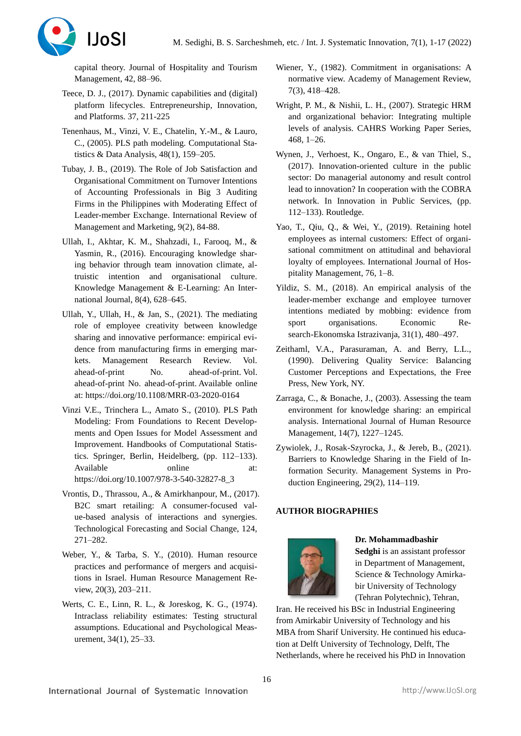

capital theory. Journal of Hospitality and Tourism Management, 42, 88–96.

- Teece, D. J., (2017). Dynamic capabilities and (digital) platform lifecycles. [Entrepreneurship, Innovation,](https://www.emerald.com/insight/publication/doi/10.1108/S0742-3322201737)  [and Platforms.](https://www.emerald.com/insight/publication/doi/10.1108/S0742-3322201737) 37, 211-225
- Tenenhaus, M., Vinzi, V. E., Chatelin, Y.-M., & Lauro, C., (2005). PLS path modeling. Computational Statistics & Data Analysis, 48(1), 159–205.
- Tubay, J. B., (2019). The Role of Job Satisfaction and Organisational Commitment on Turnover Intentions of Accounting Professionals in Big 3 Auditing Firms in the Philippines with Moderating Effect of Leader-member Exchange. International Review of Management and Marketing, 9(2), 84-88.
- Ullah, I., Akhtar, K. M., Shahzadi, I., Farooq, M., & Yasmin, R., (2016). Encouraging knowledge sharing behavior through team innovation climate, altruistic intention and organisational culture. Knowledge Management & E-Learning: An International Journal, 8(4), 628–645.
- Ullah, Y., Ullah, H., & Jan, S., (2021). The mediating role of employee creativity between knowledge sharing and innovative performance: empirical evidence from manufacturing firms in emerging markets. Management Research Review. Vol. ahead-of-print No. ahead-of-print. Vol. ahead-of-print No. ahead-of-print. Available online at[: https://doi.org/10.1108/MRR-03-2020-0164](https://doi.org/10.1108/MRR-03-2020-0164)
- Vinzi V.E., Trinchera L., Amato S., (2010). PLS Path Modeling: From Foundations to Recent Developments and Open Issues for Model Assessment and Improvement. Handbooks of Computational Statistics. Springer, Berlin, Heidelberg, (pp. 112–133). Available online at: [https://doi.org/10.1007/978-3-540-32827-8\\_3](https://doi.org/10.1007/978-3-540-32827-8_3)
- Vrontis, D., Thrassou, A., & Amirkhanpour, M., (2017). B2C smart retailing: A consumer-focused value-based analysis of interactions and synergies. Technological Forecasting and Social Change, 124, 271–282.
- Weber, Y., & Tarba, S. Y., (2010). Human resource practices and performance of mergers and acquisitions in Israel. Human Resource Management Review, 20(3), 203–211.
- Werts, C. E., Linn, R. L., & Joreskog, K. G., (1974). Intraclass reliability estimates: Testing structural assumptions. Educational and Psychological Measurement, 34(1), 25–33.
- Wiener, Y., (1982). Commitment in organisations: A normative view. Academy of Management Review, 7(3), 418–428.
- Wright, P. M., & Nishii, L. H., (2007). Strategic HRM and organizational behavior: Integrating multiple levels of analysis. CAHRS Working Paper Series, 468, 1–26.
- Wynen, J., Verhoest, K., Ongaro, E., & van Thiel, S., (2017). Innovation-oriented culture in the public sector: Do managerial autonomy and result control lead to innovation? In cooperation with the COBRA network. In Innovation in Public Services, (pp. 112–133). Routledge.
- Yao, T., Qiu, Q., & Wei, Y., (2019). Retaining hotel employees as internal customers: Effect of organisational commitment on attitudinal and behavioral loyalty of employees. International Journal of Hospitality Management, 76, 1–8.
- Yildiz, S. M., (2018). An empirical analysis of the leader-member exchange and employee turnover intentions mediated by mobbing: evidence from sport organisations. Economic Research-Ekonomska Istrazivanja, 31(1), 480–497.
- Zeithaml, V.A., Parasuraman, A. and Berry, L.L., (1990). Delivering Quality Service: Balancing Customer Perceptions and Expectations, the Free Press, New York, NY.
- Zarraga, C., & Bonache, J., (2003). Assessing the team environment for knowledge sharing: an empirical analysis. International Journal of Human Resource Management, 14(7), 1227–1245.
- Zywiolek, J., Rosak-Szyrocka, J., & Jereb, B., (2021). Barriers to Knowledge Sharing in the Field of Information Security. Management Systems in Production Engineering, 29(2), 114–119.

# **AUTHOR BIOGRAPHIES**



# **Dr. Mohammadbashir**

**Sedghi** is an assistant professor in Department of Management, Science & Technology Amirkabir University of Technology (Tehran Polytechnic), Tehran,

Iran. He received his BSc in Industrial Engineering from Amirkabir University of Technology and his MBA from Sharif University. He continued his education at Delft University of Technology, Delft, The Netherlands, where he received his PhD in Innovation